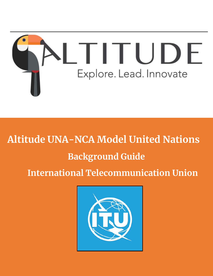

# **Altitude UNA-NCA Model United Nations**

# **Background Guide**

**International Telecommunication Union**

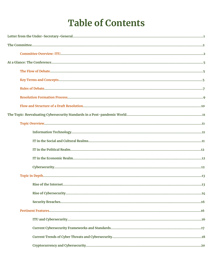# **Table of Contents**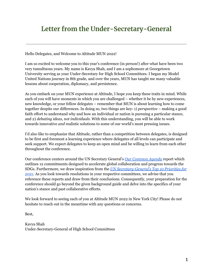## **Letter from the Under-Secretary-General**

Hello Delegates, and Welcome to Altitude MUN 2022!

I am so excited to welcome you to this year's conference (in person!) after what have been two very tumultuous years. My name is Kavya Shah, and I am a sophomore at Georgetown University serving as your Under-Secretary for High School Committees. I began my Model United Nations journey in 8th grade, and over the years, MUN has taught me many valuable lessons about cooperation, diplomacy, and persistence.

As you embark on your MUN experience at Altitude, I hope you keep these traits in mind. While each of you will have moments in which you are challenged – whether it be by new experiences, new knowledge, or your fellow delegates – remember that MUN is about learning how to come together despite our differences. In doing so, two things are key: 1) *perspective* – making a good faith effort to understand why and how an individual or nation is pursuing a particular stance, and 2) *debating ideas, not individuals.* With this understanding, you will be able to work towards innovative *and* realistic solutions to some of our world's most pressing issues.

I'd also like to emphasize that Altitude, rather than a competition between delegates, is designed to be first and foremost a learning experience where delegates of all levels can participate and seek support. We expect delegates to keep an open mind and be willing to learn from each other throughout the conference.

Our conference centers around the UN Secretary General's *[Our Common Agenda](https://www.un.org/en/content/common-agenda-report/assets/pdf/Common_Agenda_Report_English.pdf)* report which outlines 12 commitments designed to accelerate global collaboration and progress towards the SDGs. Furthermore, we draw inspiration from the *[UN Secretary-General's Top 10 Priorities for](https://sdg.iisd.org/news/un-secretary-general-presents-10-priorities-for-2021/) [2021.](https://sdg.iisd.org/news/un-secretary-general-presents-10-priorities-for-2021/)* As you look towards resolutions in your respective committees, we advise that you reference these reports and draw from their conclusions. Consequently, your preparation for the conference should go beyond the given background guide and delve into the specifics of your nation's stance and past collaborative efforts.

We look forward to seeing each of you at Altitude MUN 2022 in New York City! Please do not hesitate to reach out in the meantime with any questions or concerns.

Best,

Kavya Shah Under-Secretary-General of High School Committees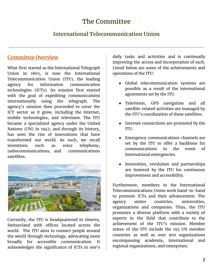## **The Committee**

### **International Telecommunication Union**

### **Committee Overview**

What first started as the International Telegraph Union in 1865, is now the International Telecommunication Union (ITU), the leading agency for information communication technologies (ICTs). Its mission first started with the goal of expediting communications internationally using the telegraph. The agency's mission then proceeded to cover the ICT sector as it grew, including the internet, mobile technologies, and television. The ITU became a specialized agency under the United Nations (UN) in 1947, and through its history, has seen the rise of innovations that have transformed our world. As such, we recall inventions such as voice telephony, radiocommunications, and communications satellites.



Currently, the ITU is headquartered in Geneva, Switzerland with offices located across the world. The ITU aims to connect people around the world through technology, advocating more broadly for accessible communication. It acknowledges the significance of ICTs in one's

daily tasks and activities and is continually improving the access and incorporation of such. Listed below are some of the achievements and operations of the ITU:

- Global telecommunication systems are possible as a result of the international agreements set by the ITU.
- Television, GPS navigation and all satellite related activities are managed by the ITU's coordination of these satellites.
- Internet connections are promoted by the ITU.
- Emergency communications channels are set by the ITU to offer a backbone for communications in the event of international emergencies.
- Innovation, revolution and partnerships are fostered by the ITU for continuous improvement and accessibility.

Furthermore, members in the International Telecommunications Union work hand-in-hand to promote ICTs and their advancement. The agency unites countries, universities, organizations and companies. Thus, the ITU promotes a diverse platform with a variety of experts in the field that contribute to the achievement of the ITU's mission. Member states of the ITU include the 193 UN member countries as well as over 900 organizations encompassing academia, international and regional organizations, and enterprises.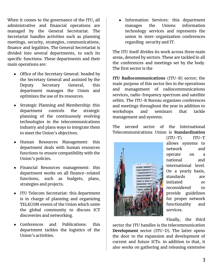When it comes to the governance of the ITU, all administrative and financial operations are managed by the General Secretariat. The Secretariat handles activities such as planning meetings, security, strategies, communications, finance and legalities. The General Secretariat is divided into several departments, to each its specific functions. These departments and their main operations are:

- Office of the Secretary General: headed by the Secretary General and assisted by the Deputy Secretary General, this department manages the Union and optimizes the use of its resources.
- Strategic Planning and Membership: this department controls the strategic planning of the continuously evolving technologies in the telecommunications industry and plans ways to integrate them to meet the Union's objectives.
- Human Resources Management: this department deals with human resources functions to ensure compatibility with the Union's policies.
- Financial Resources management: this department works on all finance-related functions, such as budgets, plans, strategies and projects.
- ITU Telecom Secretariat: this department is in charge of planning and organizing TELECOM events of the Union which unite the global community to discuss ICT discoveries and networking.
- Conferences and Publications: this department tackles the logistics of the Union's activities.

● Information Services: this department manages the Unions information technology services and represents the union in inter-organization conferences regarding security and IT.

The ITU itself divides its work across three main areas, denoted by sectors. These are tackled in all the conferences and meetings set by the body. The first sector is the

**ITU Radiocommunications** (ITU-R) sector; the main purpose of this sector lies in the operations and management of radiocommunications services, radio-frequency spectrum and satellite orbits. The ITU-R Bureau organizes conferences and meetings throughout the year in addition to workshops and seminars that tackle management and systems.

The second sector of the International Telecommunications Union is **Standardization**



(ITU-T). ITU-T allows systems to network and operate on a national and international level. On a yearly basis, standards are initiated or reconsidered to provide guidelines for proper network functionality and services.

Finally, the third

sector the ITU handles is the telecommunication **Development** sector (ITU-D). The latter opens the door to the expansion and development of current and future ICTs. in addition to that, it also works on gathering and releasing extensive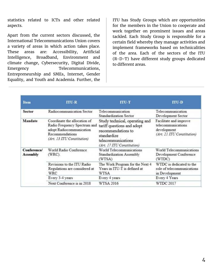statistics related to ICTs and other related aspects.

Apart from the current sectors discussed, the International Telecommunications Union covers a variety of areas in which action takes place. These areas are: Accessibility, Artificial Intelligence, Broadband, Environment and climate change, Cybersecurity, Digital Divide, Emergency Telecommunications, Entrepreneurship and SMEs, Internet, Gender Equality, and Youth and Academia. Further, the

ITU has Study Groups which are opportunities for the members in the Union to cooperate and work together on prominent issues and areas tackled. Each Study Group is responsible for a certain field whereby they manage activities and implement frameworks based on technicalities of the area. Each of the sectors of the ITU (R-D-T) have different study groups dedicated to different areas.

| <b>Item</b>                    | $ITU-R$                                                                                                                                   | $TTU-T$                                                                                                                                               | $\bf ITU-D$                                                                               |
|--------------------------------|-------------------------------------------------------------------------------------------------------------------------------------------|-------------------------------------------------------------------------------------------------------------------------------------------------------|-------------------------------------------------------------------------------------------|
| <b>Sector</b>                  | Radiocommunication Sector                                                                                                                 | Telecommunication<br>Standardization Sector                                                                                                           | Telecommunication<br>Development Sector                                                   |
| Mandate                        | Coordinate the allocation of<br>Radio Frequency Spectrum and<br>adopt Radiocommunication<br>Recommendations<br>(Art. 13 ITU Constitution) | Study technical, operating and<br>tariff questions and adopt<br>recommendations to<br>standardize<br>telecommunications<br>(Art. 17 ITU Constitution) | Facilitate and improve<br>telecommunications<br>development<br>(Art. 21 ITU Constitution) |
| Conference/<br><b>Assembly</b> | World Radio Conference<br>$(WRC)$ .                                                                                                       | World Telecommunications<br>Standardization Assembly<br>(WTSA)                                                                                        | World Telecommunications<br>Development Conference<br>(WTDC)                              |
|                                | Revisions to the ITU Radio<br>Regulations are considered at<br>WRC                                                                        | The Work Program for the Next 4<br>Years in ITU-T is defined at<br>WTSA                                                                               | WTDC is dedicated to the<br>role of telecommunications<br>in Development                  |
|                                | Every 3-4 years                                                                                                                           | Every 4 years                                                                                                                                         | Every 4 Years                                                                             |
|                                | Next Conference is in 2018                                                                                                                | WTSA 2016                                                                                                                                             | WTDC 2017                                                                                 |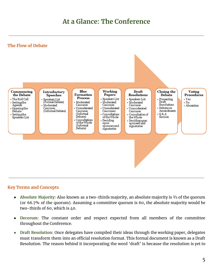## **At a Glance: The Conference**





#### **Key Terms and Concepts**

- **Absolute Majority:** Also known as a two-thirds majority, an absolute majority is ⅔ of the quorum (or 66.7% of the quorum). Assuming a committee quorum is 60, the absolute majority would be two-thirds of 60, which is 40.
- **Decorum:** The constant order and respect expected from all members of the committee throughout the Conference.
- **● Draft Resolution:** Once delegates have compiled their ideas through the working paper, delegates must transform them into an official resolution format. This formal document is known as a Draft Resolution. The reason behind it incorporating the word 'draft' is because the resolution is yet to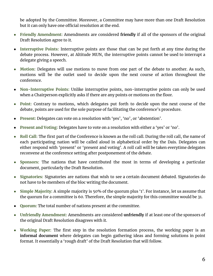be adopted by the Committee. Moreover, a Committee may have more than one Draft Resolution but it can only have one official resolution at the end.

- **● Friendly Amendment:** Amendments are considered **friendly** if all of the sponsors of the original Draft Resolution agree to it.
- **Interruptive Points:** Interruptive points are those that can be put forth at any time during the debate process. However, at Altitude MUN, the interruptive points cannot be used to interrupt a delegate giving a speech.
- **Motion:** Delegates will use motions to move from one part of the debate to another. As such, motions will be the outlet used to decide upon the next course of action throughout the conference.
- **Non-Interruptive Points:** Unlike interruptive points, non-interruptive points can only be used when a Chairperson explicitly asks if there are any points or motions on the floor.
- **● Point:** Contrary to motions, which delegates put forth to decide upon the next course of the debate, points are used for the sole purpose of facilitating the conference's procedure.
- **Present:** Delegates can vote on a resolution with 'yes', 'no', or 'abstention'.
- Present and Voting: Delegates have to vote on a resolution with either a 'yes' or 'no'.
- **● Roll Call:** The first part of the Conference is known as the roll call. During the roll call, the name of each participating nation will be called aloud in alphabetical order by the Dais. Delegates can either respond with 'present' or 'present and voting'. A roll call will be taken everytime delegates reconvene at the conference setting after postponement of the debate.
- **● Sponsors:** The nations that have contributed the most in terms of developing a particular document, particularly the Draft Resolution.
- **● Signatories:** Signatories are nations that wish to see a certain document debated. Signatories do not have to be members of the bloc writing the document.
- **● Simple Majority:** A simple majority is 50% of the quorum plus '1'. For instance, let us assume that the quorum for a committee is 60. Therefore, the simple majority for this committee would be 31.
- **Quorum:** The total number of nations present at the committee.
- **● Unfriendly Amendment:** Amendments are considered **unfriendly** if at least one of the sponsors of the original Draft Resolution disagrees with it.
- **● Working Paper:** The first step in the resolution formation process, the working paper is an **informal document** where delegates can begin gathering ideas and forming solutions in point format. It essentially a 'rough draft' of the Draft Resolution that will follow.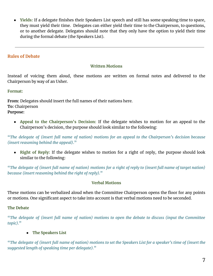● **Yields:** If a delegate finishes their Speakers List speech and still has some speaking time to spare, they must yield their time. Delegates can either yield their time to the Chairperson, to questions, or to another delegate. Delegates should note that they only have the option to yield their time during the formal debate (the Speakers List).

### **Rules of Debate**

#### **Written Motions**

Instead of voicing them aloud, these motions are written on formal notes and delivered to the Chairperson by way of an Usher.

#### **Format:**

**From:** Delegates should insert the full names of their nations here. **To:** Chairperson **Purpose:**

● **Appeal to the Chairperson's Decision:** If the delegate wishes to motion for an appeal to the Chairperson's decision, the purpose should look similar to the following:

**"***The delegate of (insert full name of nation) motions for an appeal to the Chairperson's decision because (insert reasoning behind the appeal)***."**

● **Right of Reply:** If the delegate wishes to motion for a right of reply, the purpose should look similar to the following:

**"***The delegate of (insert full name of nation) motions for a right of reply to (insert full name of target nation) because (insert reasoning behind the right of reply).***"**

#### **Verbal Motions**

These motions can be verbalized aloud when the Committee Chairperson opens the floor for any points or motions. One significant aspect to take into account is that verbal motions need to be seconded.

#### **The Debate**

**"***The delegate of (insert full name of nation) motions to open the debate to discuss (input the Committee topic).***"**

### **● The Speakers List**

**"***The delegate of (insert full name of nation) motions to set the Speakers List for a speaker's time of (insert the suggested length of speaking time per delegate).***"**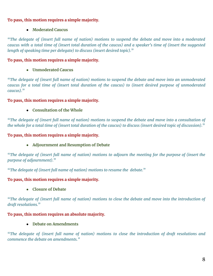### **To pass, this motion requires a simple majority.**

### **● Moderated Caucus**

**"***The delegate of (insert full name of nation) motions to suspend the debate and move into a moderated caucus with a total time of (insert total duration of the caucus) and a speaker's time of (insert the suggested length of speaking time per delegate) to discuss (insert desired topic).***"**

### **To pass, this motion requires a simple majority.**

### **● Unmoderated Caucus**

**"***The delegate of (insert full name of nation) motions to suspend the debate and move into an unmoderated caucus for a total time of (insert total duration of the caucus) to (insert desired purpose of unmoderated caucus).***"**

#### **To pass, this motion requires a simple majority.**

### **● Consultation of the Whole**

**"***The delegate of (insert full name of nation) motions to suspend the debate and move into a consultation of the whole for a total time of (insert total duration of the caucus) to discuss (insert desired topic of discussion).***"**

#### **To pass, this motion requires a simple majority.**

### **● Adjournment and Resumption of Debate**

**"***The delegate of (insert full name of nation) motions to adjourn the meeting for the purpose of (insert the purpose of adjournment).***"**

**"***The delegate of (insert full name of nation) motions to resume the debate.***"**

### **To pass, this motion requires a simple majority.**

#### **● Closure of Debate**

**"***The delegate of (insert full name of nation) motions to close the debate and move into the introduction of draft resolutions.***"**

### **To pass, this motion requires an absolute majority.**

**● Debate on Amendments**

**"***The delegate of (insert full name of nation) motions to close the introduction of draft resolutions and commence the debate on amendments."*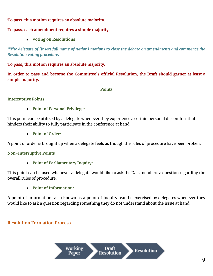### **To pass, this motion requires an absolute majority.**

### **To pass, each amendment requires a simple majority.**

**● Voting on Resolutions**

**"***The delegate of (insert full name of nation) motions to close the debate on amendments and commence the Resolution voting procedure."*

### **To pass, this motion requires an absolute majority.**

**In order to pass and become the Committee's official Resolution, the Draft should garner at least a simple majority.**

#### **Points**

#### **Interruptive Points**

**● Point of Personal Privilege:**

This point can be utilized by a delegate whenever they experience a certain personal discomfort that hinders their ability to fully participate in the conference at hand.

**● Point of Order:**

A point of order is brought up when a delegate feels as though the rules of procedure have been broken.

### **Non-Interruptive Points**

**● Point of Parliamentary Inquiry:**

This point can be used whenever a delegate would like to ask the Dais members a question regarding the overall rules of procedure.

**● Point of Information:**

A point of information, also known as a point of inquiry, can be exercised by delegates whenever they would like to ask a question regarding something they do not understand about the issue at hand.

### **Resolution Formation Process**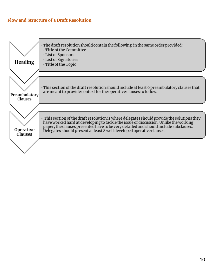### **Flow and Structure of a Draft Resolution**

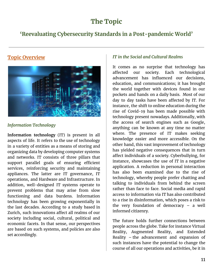# **The Topic**

### **'Reevaluating Cybersecurity Standards in a Post-pandemic World'**

### **Topic Overview**



### *Information Technology*

**Information technology** (IT) is present in all aspects of life. It refers to the use of technology in a variety of entities as a means of storing and organizing data by developing computer systems and networks. IT consists of three pillars that support parallel goals of ensuring efficient services, reinforcing security and maintaining appliances. The latter are IT governance, IT operations, and Hardware and Infrastructure. In addition, well-designed IT systems operate to prevent problems that may arise from slow functioning and data burdens. Information technology has been growing exponentially in the last decades. According to a study based in Zurich, such innovations affect all realms of our society including social, cultural, political and economic facets. In that sense, our perspectives are based on such systems, and policies are also set accordingly.

### *IT in the Social and Cultural Realms*

It comes as no surprise that technology has affected our society. Each technological advancement has influenced our decisions, education, and communications; it has brought the world together with devices found in our pockets and hands on a daily basis. Most of our day to day tasks have been affected by IT. For instance, the shift to online education during the rise of Covid-19 has been made possible with technology present nowadays. Additionally, with the access of search engines such as Google, anything can be known at any time no matter where. The presence of IT makes seeking knowledge easier and more accessible. On the other hand, this vast improvement of technology has yielded negative consequences that in turn affect individuals of a society. Cyberbullying, for instance, showcases the use of IT in a negative application. A reduction in personal interaction has also been examined due to the rise of technology, whereby people prefer chatting and talking to individuals from behind the screen rather than face to face. Social media and rapid access to information via IT has also contributed to a rise in disinformation, which poses a risk to the very foundation of democracy – a well informed citizenry.

The future holds further connections between people across the globe. Take for instance Virtual Reality, Augmented Reality, and Extended Reality – the advancement and expansion of such instances have the potential to change the course of all our operations and activities, be it in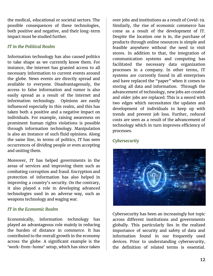the medical, educational or societal sectors. The possible consequences of these technologies, both positive and negative, and their long-term impact must be studied further.

### *IT in the Political Realm*

Information technology has also caused politics to take shape as we currently know them. For instance, the internet has granted access to all necessary information to current events around the globe. News events are directly spread and available to everyone. Disadvantageously, the access to false information and rumor is also easily spread as a result of the internet and information technology. Opinions are easily influenced especially in this realm, and this has taken both a positive and a negative impact on individuals. For example, raising awareness on prominent human rights violations is possible through information technology. Manipulation is also an instance of such fluid opinions. Along the same line, in terms of politics, IT has seen occurrences of dividing people or even accepting and uniting them.

Moreover, IT has helped governments in the areas of services and improving them such as combating corruption and fraud. Encryption and protection of information has also helped in improving a country's security. On the contrary, it also played a role in developing advanced technologies used in an adverse way, such as weapons technology and waging war.

### *IT in the Economic Realm*

Economically, information technology has played an advantageous role mainly in reducing the burden of distance in commerce. It has contributed to the overall growth in the economy across the globe. A significant example is the 'work-from-home' setup, which has since taken

over jobs and institutions as a result of Covid-19. Similarly, the rise of economic commerce has come as a result of the development of IT. Despite the location one is in, the purchase of products through online resources is simple and feasible anywhere without the need to visit stores. In addition to that, the integration of communication systems and computing has facilitated the necessary data organization processes in a company. In other terms, IT systems are currently found in all enterprises and have replaced the "paper" when it comes to storing all data and information. Through the advancement of technology, new jobs are created and older jobs are replaced. This is a sword with two edges which necessitates the updates and development of individuals to keep up with trends and prevent job loss. Further, reduced costs are seen as a result of the advancement of technology which in turn improves efficiency of processes.

### *Cybersecurity*



Cybersecurity has been an increasingly hot topic across different institutions and governments globally. This particularly lies in the realized importance of security and safety of data and information found in our frequently used devices. Prior to understanding cybersecurity, the definition of related terms is essential.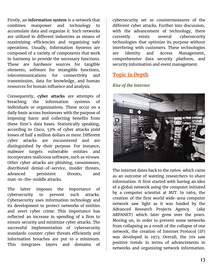Firstly, an **information system** is a network that combines manpower and technology to accumulate data and organize it. Such networks are utilized in different industries as means of maximizing efficiencies and organizing safe operations. Usually, Information Systems are composed of a variety of components that work in harmony to provide the necessary functions. These are hardware sources for tangible elements, software for intangible functions, telecommunications for connectivity and transmission, data for knowledge, and human resources for human influence and analysis.

Consequently, **cyber attacks** are attempts of breaching the information systems of individuals or organizations. These occur on a daily basis across businesses with the purpose of imposing harm and collecting benefits from these firm's data bases. Statistically speaking, according to Cisco, 53% of cyber attacks yield losses of half a million dollars or more. Different cyber attacks are encountered and are distinguished by their purpose. For instance, malware targets vulnerable entities and incorporates malicious software, such as viruses. Other cyber attacks are phishing, ransomware, distributed denial-of-service, insider threats, advanced persistent threats, and man-in-the-middle attacks.

The latter imposes the importance of cybersecurity to prevent such attacks. Cybersecurity uses information technology and its development to protect networks of entities and avert cyber crime. This importance has reflected an increase in spending of a firm to ensure security and minimize cyber attacks. The successful implementation of cybersecurity standards counter cyber threats efficiently and information breaches are put to a minimum. This integrates layers and domains of

cybersecurity set as countermeasures of the different cyber attacks. Further into discussion, with the advancement of technology, there currently exists several cybersecurity technologies that optimize its purpose without interfering with customers. These technologies are Identity and Access Management, comprehensive data security platform, and security information and event management.

### **Topic in Depth**

#### *Rise of the Internet*



The internet dates back to the 1960s which came as an outcome of wanting researchers to share information. It first started with having an idea of a global network using the computer initiated by a computer scientist at MIT. In 1969, the creation of the first world wide-area computer network saw light as it was funded by the Advanced Research Projects Agency (aka ARPANET) which later grew over the years. Moving on, in order to prevent some networks from collapsing as a result of the collapse of one network, the creation of Internet Protocol (IP) was developed in 1973. Overall, the 70s saw positive trends in terms of advancements in networks and organizing network information.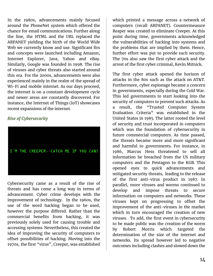In the 1980s, advancements mainly focused around the PhoneNet system which offered the chance for email communications. Further along the line, the HTML and the URL replaced the ARPANET yielding the birth of the World Wide Web we currently know and use. Significant firs and concepts were launched including Amazon, Internet Explorer, Java, Yahoo and eBay. Similarly, Google was founded in 1998. The rise of viruses and cyber threats also started around this era. For the 2000s, advancements were also experienced mainly in the realm of the spread of Wi-Fi and mobile internet. As our days proceed, the internet is on a constant development cycle and newer areas are constantly discovered. For instance, the Internet of Things (IoT) showcases recent expansions of the internet.

### *Rise of Cybersecurity*



Cybersecurity came as a result of the rise of threats and has come a long way in terms of advancement. Cyber crime develops with the improvement of technology. In the 1960s, the use of the word hacking began to be used, however the purpose differed. Rather than the commercial benefits from hacking, it was previously solely used for causing trouble and accessing systems. Nevertheless, this created the idea of improving the security of computers to offset possibilities of hacking. Moving into the 1970s, the first "virus", Creeper, was established

which printed a message across a network of computers (recall ARPANET). Countermeasure Reaper was created to eliminate Creeper. At this point during time, governments acknowledged the vulnerabilities of hacking into systems and the problems that are implied by them. Hence, further effort was put to provide such security. The 70s also saw the first cyber attack and the arrest of the first cyber criminal, Kevin Mitnick.

The first cyber attack opened the horizon of attacks in the 80s such as the attack on AT&T. Furthermore, cyber espionage became a concern in governments, especially during the Cold War. This led governments to start looking into the security of computers to prevent such attacks. As a result, the "Trusted Computer System Evaluation Criteria" was established in the United States in 1985. The latter rooted the level of security and trust incorporated in computers which was the foundation of cybersecurity in future commercial computers. As time passed, the threats became more and more significant and harmful to governments. For instance, in 1986, Marcus Hess threatened to sell all information he breached from the US military computers and the Pentagon to the KGB. This opened eyes to quick advancements and mitigated security threats, leading to the release of the first anti-virus product in 1987. In parallel, more viruses and worms continued to develop and impose threats to secure information on computers and networks. These viruses kept on progressing to offset the improvement of the anti-viruses in the market which in turn encouraged the creation of new viruses. To add, the first event in cybersecurity to be made public was the creation of the worm by Robert Morris which targeted the determination of the size of the internet and networks. Its spread however led to negative outcomes including clashes and slowed down the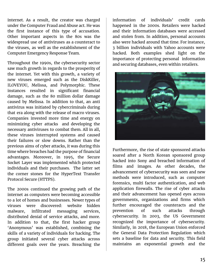internet. As a result, the creator was charged under the Computer Fraud and Abuse act. He was the first instance of this type of accusation. Other important aspects in the 80s was the widespread use of antiviruses as a counteract to the viruses, as well as the establishment of the Computer Emergency Response Team.

Throughout the 1990s, the cybersecurity sector saw much growth in regards to the prosperity of the internet. Yet with this growth, a variety of new viruses emerged such as the DiskKiller, ILOVEYOU, Melissa, and Polymorphic. These instances resulted in significant financial damage, such as the 80 million dollar damage caused by Melissa. In addition to that, an anti antivirus was initiated by cybercriminals during that era along with the release of macro viruses. Companies invested more time and energy on minimizing cyber attacks and developing the necessary antiviruses to combat them. All in all, these viruses interrupted systems and caused their failures or slow downs. Rather than the previous aims of cyber attacks, it was during this time where breaches had the purpose of financial advantages. Moreover, in 1995, the Secure Socket Layer was implemented which protected individuals and their purchases. The latter set the corner stones for the HyperText Transfer Protocol Secure (HTTPS).

The 2000s continued the growing path of the internet as computers were becoming accessible to a lot of homes and businesses. Newer types of viruses were discovered: website hidden malware, infiltrated messaging services, distributed denial of service attacks, and more. In addition to that, the first hacker group 'Anonymous' was established, combining the skills of a variety of individuals for hacking. The group initiated several cyber attacks across different goals over the years. Breaching the

information of individuals' credit cards happened in the 2000s. Retailers were hacked and their information databases were accessed and stolen from. In addition, personal accounts also were hacked around that time. For instance, 3 billion individuals with Yahoo accounts were hacked. Both examples shed light on the importance of protecting personal information and securing databases, even within retailers.



Furthermore, the rise of state sponsored attacks soared after a North Korean sponsored group hacked into Sony and breached information of films and images. As other decades, the advancement of cybersecurity was seen and new methods were introduced, such as computer forensics, multi factor authentication, and web application firewalls. The rise of cyber attacks and their advancement has opened eyes across governments, organizations and firms which further encouraged the counteracts and the prevention of such attacks through cybersecurity. In 2003, the US Government recognized the importance of cybersecurity. Similarly, in 2018, the European Union enforced the General Data Protection Regulation which sets a baseline for data and security. This field maintains an exponential growth and the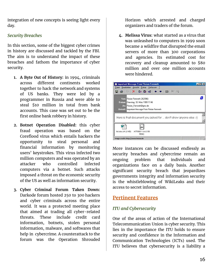integration of new concepts is seeing light every day.

### *Security Breaches*

In this section, some of the biggest cyber crimes in history are discussed and tackled by the FBI. The aim is to understand the impact of these breaches and fathom the importance of cyber security.

- **1. A Byte Out of History:** in 1994, criminals across different continents worked together to hack the network and systems of US banks. They were led by a programmer in Russia and were able to steal \$10 million in total from bank accounts. This case was set out to be the first online bank robbery in history.
- **2. Botnet Operation Disabled:** this cyber fraud operation was based on the Coreflood virus which entails hackers the opportunity to steal personal and financial information by monitoring users' keystrokes. This virus infected two million computers and was operated by an attacker who controlled infected computers via a botnet. Such attacks imposed a threat on the economic security of the US as well as information security.
- **3. Cyber Criminal Forum Taken Down:** Darkode forum hosted 250 to 300 hackers and cyber criminals across the entire world. It was a protected meeting place that aimed at trading all cyber-related threats. These include credit card information, botnets, stolen personal information, malware, and softwares that help in cybercrime. A counterattack to the forum was the Operation Shrouded

Horizon which arrested and charged organizers and traders of the forum.

**4. Melissa Virus:** what started as a virus that was unleashed to computers in 1999 soon became a wildfire that disrupted the email servers of more than 300 corporations and agencies. Its estimated cost for recovery and cleanup amounted to \$80 million and over one million accounts were hindered.



More instances can be discussed endlessly as security breaches and cybercrime remain an ongoing problem that individuals and organizations face on a daily basis. Another significant security breach that jeopardizes governments integrity and information security is the whistleblowing of WikiLeaks and their access to secret information.

### **Pertinent Features**

### *ITU and Cybersecurity*

One of the areas of action of the International Telecommunication Union is cyber security. This lies in the importance the ITU holds to ensure security and confidence in the Information and Communication Technologies (ICTs) used. The ITU believes that cybersecurity is a liability a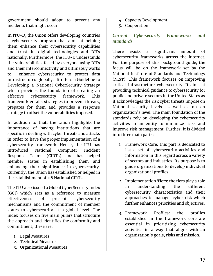government should adopt to prevent any incidents that might occur.

In ITU-D, the Union offers developing countries a cybersecurity program that aims at helping them enhance their cybersecurity capabilities and trust in digital technologies and ICTs nationally. Furthermore, the ITU-D understands the vulnerabilities faced by everyone using ICTs and their interconnectivity and ultimately works to enhance cybersecurity to protect data infrastructures globally. It offers a Guideline to Developing a National CyberSecurity Strategy which provides the foundation of creating an effective cybersecurity framework. This framework entails strategies to prevent threats, prepares for them and provides a response strategy to offset the vulnerabilities imposed.

In addition to that, the Union highlights the importance of having institutions that are specific in dealing with cyber threats and attacks in order to have the proper implementation of a cybersecurity framework. Hence, the ITU has introduced National Computer Incident Response Teams (CIRTs) and has helped member states in establishing them and enhancing their significance in cybersecurity. Currently, the Union has established or helped in the establishment of 118 National CIRTs.

The ITU also issued a Global CyberSecurity Index (GCI) which sets as a reference to measure effectiveness of present cybersecurity mechanisms and the commitment of member states to cybersecurity at a global level. The index focuses on five main pillars that structure the approach and identifies the conformity and commitment; these are:

- 1. Legal Measures
- 2. Technical Measures
- 3. Organizational Measures
- 4. Capacity Development
- 5. Cooperation

### *Current Cybersecurity Frameworks and Standards*

There exists a significant amount of cybersecurity frameworks across the internet. For the purpose of this background guide, the focus will be on the framework set by the National Institute of Standards and Technology (NIST). This framework focuses on improving critical infrastructure cybersecurity. It aims at providing technical guidance to cybersecurity for public and private sectors in the United States as it acknowledges the risk cyber threats impose on National security levels as well as on an organization's level. The main foundation of the standards rely on developing the cybersecurity activities in an entity to minimize risks and improve risk management. Further, it is divided into three main parts:

- 1. Framework Core: this part is dedicated to list a set of cybersecurity activities and information in this regard across a variety of sectors and industries. Its purpose is to guide organizations to develop individual organizational profiles.
- 2. Implementation Tiers: the tiers play a role in understanding the different cybersecurity characteristics and their approaches to manage cyber risk which further enhances priorities and objectives.
- 3. Framework Profiles: the profiles established in the framework core are essential in prioritizing cybersecurity activities in a way that aligns with an organization's goals, risks and mission.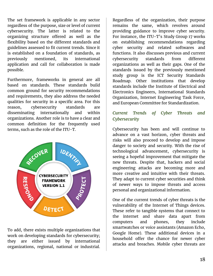The set framework is applicable in any sector regardless of the purpose, size or level of current cybersecurity. The latter is related to the organizing structure offered as well as the flexibility based on the different standards and guidelines assessed to fit current trends. Since it is established on a foundation of standards, as previously mentioned, its international application and call for collaboration is made possible.

Furthermore, frameworks in general are all based on standards. These standards build common ground for security recommendations and requirements, they also address the needed qualities for security in a specific area. For this reason, cybersecurity standards are disseminating internationally and within organizations. Another role is to have a clear and common definition for the frequently used terms, such as the role of the ITU-T.



To add, there exists multiple organizations that work on developing standards for cybersecurity; they are either issued by international organizations, regional, national or industrial.

Regardless of the organization, their purpose remains the same, which revolves around providing guidance to improve cyber security. For instance, the ITU-T's Study Group 17 works on establishing recommendations regarding cyber security and related softwares and functions. It also discusses previous and current cybersecurity standards from different organizations as well as their gaps. One of the standards issued by the previously mentioned study group is the ICT Security Standards Roadmap. Other institutions that develop standards include the Institute of Electrical and Electronics Engineers, International Standards Organization, Internet Engineering Task Force, and European Committee for Standardization.

### *Current Trends of Cyber Threats and Cybersecurity*

Cybersecurity has been and will continue to advance on a vast horizon, cyber threats and risks will also proceed to develop and impose danger to society and security. With the rise of technological advancement, cybersecurity is seeing a hopeful improvement that mitigate the new threats. Despite that, hackers and social engineering attacks are becoming more and more creative and intuitive with their threats. They adapt to current cyber securities and think of newer ways to impose threats and access personal and organizational information.

One of the current trends of cyber threats is the vulnerability of the Internet of Things devices. These refer to tangible systems that connect to the internet and share data apart from computers and phones, they include smartwatches or voice assistants (Amazon Echo, Google Home). These additional devices in a household offer the chance for newer cyber attacks and breaches. Mobile cyber threats are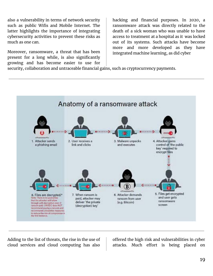also a vulnerability in terms of network security such as public Wifis and Mobile Internet. The latter highlights the importance of integrating cybersecurity activities to prevent these risks as much as one can.

Moreover, ransomware, a threat that has been present for a long while, is also significantly growing and has become easier to use for

hacking and financial purposes. In 2020, a ransomware attack was directly related to the death of a sick woman who was unable to have access to treatment at a hospital as it was locked out of its systems. Such attacks have become more and more developed as they have integrated machine learning, as did cyber

security, collaboration and untraceable financial gains, such as cryptocurrency payments.



Adding to the list of threats, the rise in the use of cloud services and cloud computing has also

offered the high risk and vulnerabilities in cyber attacks. Much effort is being placed on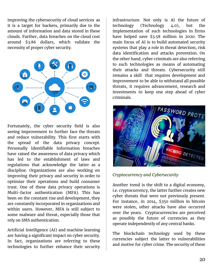improving the cybersecurity of cloud services as it is a target for hackers, primarily due to the amount of information and data stored in these clouds. Further, data breaches on the cloud cost around \$3.86 dollars, which validate the necessity of proper cyber security.



Fortunately, the cyber security field is also seeing improvement to further face the threats and reduce vulnerability. This first starts with the spread of the data privacy concept. Personally Identifiable Information breaches have raised the awareness of data privacy which has led to the establishment of laws and regulations that acknowledge the latter as a discipline. Organizations are also working on improving their privacy and security in order to optimize their operations and build consumer trust. One of these data privacy operations is Multi-factor authentication (MFA). This has been on the constant rise and development, they are constantly incorporated in organizations and within users. However, MFA is still subject to some malware and threat, especially those that rely on SMS authentication.

Artificial Intelligence (AI) and machine learning are having a significant impact on cyber security. In fact, organizations are referring to these technologies to further enhance their security

infrastructure. Not only is AI the future of technology (Technology 4.0), but the implementation of such technologies in firms have helped save \$3.58 million in 2020. The main focus of AI is to build automated security systems that play a role in threat detection, risk data identification and attacks prevention. On the other hand, cyber criminals are also referring to such technologies as means of automating their attacks and threats. Cybersecurity still remains a skill that requires development and improvement to be able to withstand all possible threats, it requires advancement, research and investments to keep one step ahead of cyber criminals.



### *Cryptocurrency and Cybersecurity*

Another trend is the shift to a digital economy, i.e. cryptocurrency, the latter further creates new cyber threats that were not previously present. For instance, in 2014, \$350 million in bitcoin were stolen, other attacks have also occurred over the years. Cryptocurrencies are perceived as possibly the future of currencies as they operate independently of any central banks.

The blockchain technology used by these currencies subject the latter to vulnerabilities and motive for cyber crime. The security of these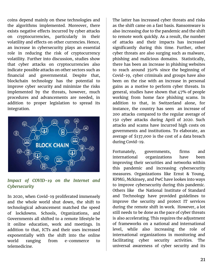coins depend mainly on these technologies and the algorithms implemented. Moreover, there exists negative effects incurred by cyber attacks on cryptocurrencies, particularly in their volatility and effects on other currencies. Hence, an increase in cybersecurity plays an essential role in reducing the risk of cryptocurrency volatility. Further into discussion, studies show that cyber attacks on cryptocurrencies also indicate possible attacks on other sectors such as financial and governmental. Despite that, blockchain technology has the potential to improve cyber security and minimize the risks implemented by the threats, however, much procedures and advancements are needed, in addition to proper legislation to spread its integration.



### *Impact of COVID-19 on the Internet and Cybersecurity*

In 2020, when Covid-19 proliferated immensely and the whole world shut down, the shift to technological advancement matched the speed of lockdowns. Schools, Organizations, and Governments all shifted to a remote lifestyle be it online education, work and meetings. In addition to that, ICTs and their uses increased exponentially with the shift into the online world ranging from e-commerce to telemedicine.

The latter has increased cyber threats and risks as the shift came on a fast basis. Ransomware is also increasing due to the pandemic and the shift to remote work quickly. As a result, the number of attacks and their impacts has increased significantly during this time. Further, other cyber threats are also surging such as malware, phishing and malicious domains. Statistically, there has been an increase in phishing websites to reach around 350% since the beginning of Covid-19, cyber criminals and groups have also been on the rise with an increase in personal gains as a motive to perform cyber threats. In general, studies have shown that 47% of people working from home face phishing scams. In addition to that, in Switzerland alone, for instance, the country has seen an increase of 200 attacks compared to the regular average of 150 cyber attacks during April of 2020. Such attacks and scams have incurred high costs on governments and institutions. To elaborate, an average of \$137,000 is the cost of a data breach during Covid-19.

Fortunately, governments, firms and international organizations have been improving their securities and networks within this pandemic and increasing cybersecurity measures. Organizations like Ernst & Young, KPMG, Mckinsey, and PwC have lookes into ways to improve cybersecurity during this pandemic. Others like the National Institute of Standard and Technology have provided guidelines to improve the security and protect IT services during the remote shift in work. However, a lot still needs to be done as the pace of cyber threats is also accelerating. This requires the adjustment of frameworks on a national and international level, while also increasing the role of international organizations in monitoring and facilitating cyber security activities. The universal awareness of cyber security and its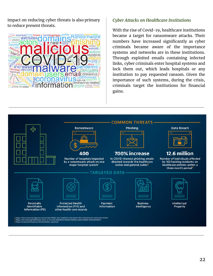impact on reducing cyber threats is also primary to reduce present threats.



#### *Cyber Attacks on Healthcare Institutions*

With the rise of Covid-19, healthcare institutions became a target for ransomware attacks. Their numbers have increased significantly as cyber criminals became aware of the importance systems and networks are in these institutions. Through exploited emails containing infected links, cyber criminals enter hospital systems and lock them out, which leads hospitals or any institution to pay requested ransom. Given the importance of such systems, during the crisis, criminals target the institutions for financial gains.

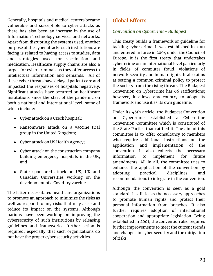Generally, hospitals and medical centers became vulnerable and susceptible to cyber attacks as there has also been an increase in the use of Information Technology services and networks. Apart from disrupting the systems used, another purpose of the cyber attacks such institutions are facing is related to having access to studies, data and strategies used for vaccination and medication. Healthcare supply chains are also a target for cyber criminals as they offer access to intellectual information and demands. All of these cyber threats have delayed patient care and impacted the responses of hospitals negatively. Significant attacks have occurred on healthcare institutions since the start of the pandemic on both a national and international level, some of which include:

- Cyber attack on a Czech hospital;
- Ransomware attack on a vaccine trial group in the United Kingdom;
- Cyber attack on US Health Agency;
- Cyber attack on the construction company building emergency hospitals in the UK; and
- State sponsored attack on US, UK and Canadian Universities working on the development of a Covid-19 vaccine.

The latter necessitates healthcare organizations to promote an approach to minimize the risks as well as respond to any risks that may arise and reduce its impact on the systems. Although nations have been working on improving the cybersecurity of such institutions by releasing guidelines and frameworks, further action is required, especially that such organizations do not have the proper cyber security activities.

### **Global Efforts**

### *Convention on Cybercrime- Budapest*

This treaty builds a framework or guideline for tackling cyber crime, it was established in 2001 and entered in force in 2004 under the Council of Europe. It is the first treaty that undertakes cyber crime on an international level particularly in fields of computer fraud, violations of network security and human rights. It also aims at setting a common criminal policy to protect the society from the rising threats. The Budapest Convention on Cybercrime has 66 ratifications; however, it allows any country to adopt its framework and use it as its own guideline.

Under its 46th article, the Budapest Convention on Cybercrime established a Cybercrime Convention Committee which is constituted of the State Parties that ratified it. The aim of this committee is to offer consultancy to members who require additional instructions on the application and implementation of the convention. It also collects the necessary information to implement for future amendments. All in all, the committee tries to enhance the application of the convention by adopting practical disciplines and recommendations to integrate in the convention.

Although the convention is seen as a gold standard, it still lacks the necessary approaches to promote human rights and protect their personal information from breaches. It also further requires adoption of international cooperation and appropriate legislation. Being established in 2001, the convention also requires further improvements to meet the current trends and changes in cyber security and the mitigation of risks.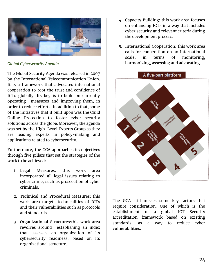

*Global Cybersecurity Agenda*

The Global Security Agenda was released in 2007 by the International Telecommunication Union. It is a framework that advocates international cooperation to root the trust and confidence of ICTs globally. Its key is to build on currently operating measures and improving them, in order to reduce efforts. In addition to that, some of the initiatives that it built upon was the Child Online Protection to foster cyber security solutions across the globe. Moreover, the agenda was set by the High-Level Experts Group as they are leading experts in policy-making and applications related to cybersecurity.

Furthermore, the GCA approaches its objectives through five pillars that set the strategies of the work to be achieved:

- 1. Legal Measures: this work area incorporated all legal issues relating to cyber crime, such as prosecution of cyber criminals.
- 2. Technical and Procedural Measures: this work area targets technicalities of ICTs and their vulnerabilities such as protocols and standards.
- 3. Organizational Structures:this work area revolves around establishing an index that assesses an organization of its cybersecurity readiness, based on its organizational structure.
- 4. Capacity Building: this work area focuses on enhancing ICTs in a way that includes cyber security and relevant criteria during the development process.
- 5. International Cooperation: this work area calls for cooperation on an international scale, in terms of monitoring, harmonizing, assessing and advocating.



The GCA still misses some key factors that require consideration. One of which is the establishment of a global ICT Security accreditation framework based on existing standards, as a way to reduce cyber vulnerabilities.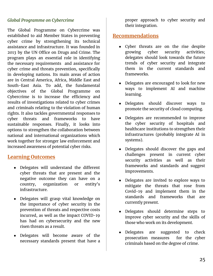### *Global Programme on Cybercrime*

The Global Programme on Cybercrime was established to aid Member States in preventing cyber crime by strengthening its technical assistance and infrastructure. It was founded in 2013 by the UN Office on Drugs and Crime. The program plays an essential role in identifying the necessary requirements and assistance for cyber crime and threats prevention, specifically in developing nations. Its main areas of action are in Central America, Africa, Middle East and South-East Asia. To add, the fundamental objectives of the Global Programme on Cybercrime is to increase the efficiency and results of investigations related to cyber crimes and criminals relating to the violation of human rights. It also tackles governmental responses to cyber threats and frameworks to have sustainable responses. Finally, it looks into options to strengthen the collaboration between national and international organizations which work together for stronger law enforcement and increased awareness of potential cyber risks.

### **Learning Outcomes**

- Delegates will understand the different cyber threats that are present and the negative outcome they can have on a country, organization or entity's infrastructure.
- Delegates will grasp vital knowledge on the importance of cyber security in the prevention of threats and respective costs incurred, as well as the impact COVID-19 has had on cybersecurity and the new risen threats as a result.
- Delegates will become aware of the necessary standards present that have a

proper approach to cyber security and their integration.

### **Recommendations**

- Cyber threats are on the rise despite growing cyber security activities; delegates should look towards the future trends of cyber security and integrate them in the current standards and frameworks.
- Delegates are encouraged to look for new ways to implement AI and machine learning.
- Delegates should discover ways to promote the security of cloud computing.
- Delegates are recommended to improve the cyber security of hospitals and healthcare institutions to strengthen their infrastructures (probably integrate AI in systems).
- Delegates should discover the gaps and challenges present in current cyber security activities as well as their frameworks and standards and suggest improvements.
- Delegates are invited to explore ways to mitigate the threats that rose from Covid-19 and implement them in the standards and frameworks that are currently present.
- Delegates should determine steps to improve cyber security and the skills of those who work on its development.
- Delegates are suggested to check prosecution measures for the cyber criminals based on the degree of crime.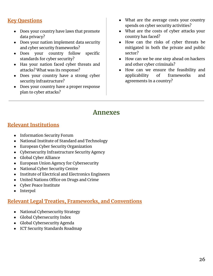### **Key Questions**

- Does your country have laws that promote data privacy?
- Does your nation implement data security and cyber security frameworks?
- Does your country follow specific standards for cyber security?
- Has your nation faced cyber threats and attacks? What was its response?
- Does your country have a strong cyber security infrastructure?
- Does your country have a proper response plan to cyber attacks?
- What are the average costs your country spends on cyber security activities?
- What are the costs of cyber attacks your country has faced?
- How can the risks of cyber threats be mitigated in both the private and public sector?
- How can we be one step ahead on hackers and other cyber criminals?
- How can we ensure the feasibility and applicability of frameworks and agreements in a country?

### **Annexes**

### **Relevant Institutions**

- Information Security Forum
- National Institute of Standard and Technology
- European Cyber Security Organization
- Cybersecurity Infrastructure Security Agency
- Global Cyber Alliance
- European Union Agency for Cybersecurity
- National Cyber Security Centre
- Institute of Electrical and Electronics Engineers
- United Nations Office on Drugs and Crime
- Cyber Peace Institute
- Interpol

### **Relevant Legal Treaties, Frameworks, and Conventions**

- National Cybersecurity Strategy
- Global Cybersecurity Index
- Global Cybersecurity Agenda
- ICT Security Standards Roadmap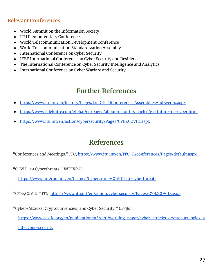### **Relevant Conferences**

- World Summit on the Information Society
- ITU Plenipotentiary Conference
- World Telecommunication Development Conference
- World Telecommunication Standardization Assembly
- International Conference on Cyber Security
- IEEE International Conference on Cyber Security and Resilience
- The International Conference on Cyber Security Intelligence and Analytics
- International Conference on Cyber Warfare and Security

# **Further References**

- <https://www.itu.int/en/history/Pages/ListOfITUConferencesAssembliesAndEvents.aspx>
- <https://www2.deloitte.com/global/en/pages/about-deloitte/articles/gx-future-of-cyber.html>
- <https://www.itu.int/en/action/cybersecurity/Pages/CYB4COVID.aspx>

# **References**

"Conferences and Meetings." *ITU*, <https://www.itu.int/en/ITU-R/conferences/Pages/default.aspx>.

"COVID-19 Cyberthreats." *INTERPOL*,

[https://www.interpol.int/en/Crimes/Cybercrime/COVID-19-cyberthreats.](https://www.interpol.int/en/Crimes/Cybercrime/COVID-19-cyberthreats)

"CYB4COVID." *ITU*, <https://www.itu.int/en/action/cybersecurity/Pages/CYB4COVID.aspx>.

"Cyber-Attacks, Cryptocurrencies, and Cyber Security." *CESifo*,

[https://www.cesifo.org/en/publikationen/2020/working-paper/cyber-attacks-cryptocurrencies-a](https://www.cesifo.org/en/publikationen/2020/working-paper/cyber-attacks-cryptocurrencies-and-cyber-security) [nd-cyber-security](https://www.cesifo.org/en/publikationen/2020/working-paper/cyber-attacks-cryptocurrencies-and-cyber-security).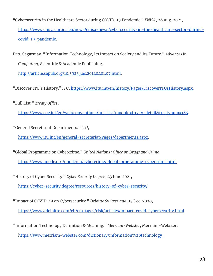"Cybersecurity in the Healthcare Sector during COVID-19 Pandemic." *ENISA*, 26 Aug. 2021, [https://www.enisa.europa.eu/news/enisa-news/cybersecurity-in-the-healthcare-sector-during](https://www.enisa.europa.eu/news/enisa-news/cybersecurity-in-the-healthcare-sector-during-covid-19-pandemic)[covid-19-pandemic.](https://www.enisa.europa.eu/news/enisa-news/cybersecurity-in-the-healthcare-sector-during-covid-19-pandemic)

Deb, Sagarmay. "Information Technology, Its Impact on Society and Its Future." *Advances in Computing*, Scientific & Academic Publishing,

<http://article.sapub.org/10.5923.j.ac.20140401.07.html>.

"Discover ITU's History." *ITU*, <https://www.itu.int/en/history/Pages/DiscoverITUsHistory.aspx>.

"Full List." *Treaty Office*,

<https://www.coe.int/en/web/conventions/full-list?module=treaty-detail&treatynum=185>.

"General Secretariat Departments." *ITU*,

[https://www.itu.int/en/general-secretariat/Pages/departments.aspx.](https://www.itu.int/en/general-secretariat/Pages/departments.aspx)

"Global Programme on Cybercrime." *United Nations : Office on Drugs and Crime*,

<https://www.unodc.org/unodc/en/cybercrime/global-programme-cybercrime.html>.

"History of Cyber Security." *Cyber Security Degree*, 23 June 2021,

<https://cyber-security.degree/resources/history-of-cyber-security/>.

"Impact of COVID-19 on Cybersecurity." *Deloitte Switzerland*, 15 Dec. 2020,

<https://www2.deloitte.com/ch/en/pages/risk/articles/impact-covid-cybersecurity.html>.

"Information Technology Definition & Meaning." *Merriam-Webster*, Merriam-Webster, <https://www.merriam-webster.com/dictionary/information%20technology>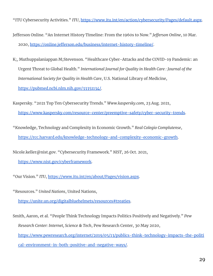"ITU Cybersecurity Activities." *ITU*, <https://www.itu.int/en/action/cybersecurity/Pages/default.aspx>.

- Jefferson Online. "An Internet History Timeline: From the 1960s to Now." *Jefferson Online*, 10 Mar. 2020, [https://online.jefferson.edu/business/internet-history-timeline/.](https://online.jefferson.edu/business/internet-history-timeline/)
- K;, Muthuppalaniappan M;Stevenson. "Healthcare Cyber-Attacks and the COVID-19 Pandemic: an Urgent Threat to Global Health." *International Journal for Quality in Health Care : Journal of the International Society for Quality in Health Care*, U.S. National Library of Medicine, [https://pubmed.ncbi.nlm.nih.gov/33351134/.](https://pubmed.ncbi.nlm.nih.gov/33351134/)
- Kaspersky. "2021 Top Ten Cybersecurity Trends." *Www.kaspersky.com*, 23 Aug. 2021, <https://www.kaspersky.com/resource-center/preemptive-safety/cyber-security-trends>.
- "Knowledge, Technology and Complexity in Economic Growth." *Real Colegio Complutense*, [https://rcc.harvard.edu/knowledge-technology-and-complexity-economic-growth.](https://rcc.harvard.edu/knowledge-technology-and-complexity-economic-growth)
- Nicole.keller@nist.gov. "Cybersecurity Framework." *NIST*, 26 Oct. 2021,
	- [https://www.nist.gov/cyberframework.](https://www.nist.gov/cyberframework)
- "Our Vision." *ITU*, <https://www.itu.int/en/about/Pages/vision.aspx>.
- "Resources." *United Nations*, United Nations,
	- [https://unite.un.org/digitalbluehelmets/resources#treaties.](https://unite.un.org/digitalbluehelmets/resources#treaties)
- Smith, Aaron, et al. "People Think Technology Impacts Politics Positively and Negatively." *Pew Research Center: Internet, Science & Tech*, Pew Research Center, 30 May 2020,
	- [https://www.pewresearch.org/internet/2019/05/13/publics-think-technology-impacts-the-politi](https://www.pewresearch.org/internet/2019/05/13/publics-think-technology-impacts-the-political-environment-in-both-positive-and-negative-ways/) [cal-environment-in-both-positive-and-negative-ways/](https://www.pewresearch.org/internet/2019/05/13/publics-think-technology-impacts-the-political-environment-in-both-positive-and-negative-ways/).